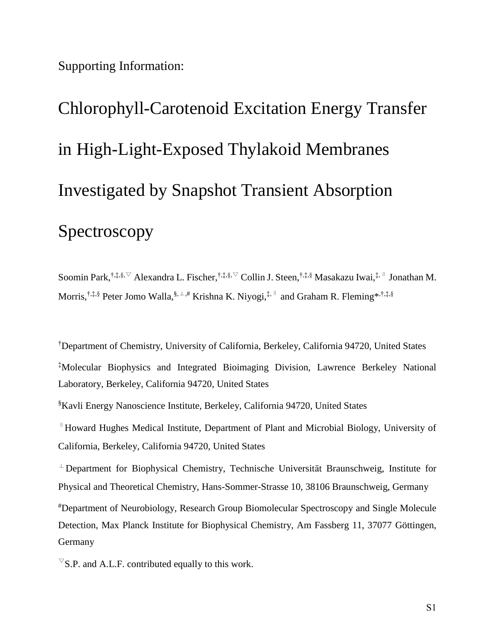## Supporting Information:

## Chlorophyll-Carotenoid Excitation Energy Transfer in High-Light-Exposed Thylakoid Membranes Investigated by Snapshot Transient Absorption Spectroscopy

Soomin Park,<sup>†,‡,§,▽</sup> Alexandra L. Fischer,<sup>†,‡,§,▽</sup> Collin J. Steen,<sup>†,‡,§</sup> Masakazu Iwai,<sup>‡,∥</sup> Jonathan M. Morris,<sup>†,‡,§</sup> Peter Jomo Walla,<sup>§,⊥,#</sup> Krishna K. Niyogi,<sup>‡, ||</sup> and Graham R. Fleming<sup>\*,†,‡,§</sup>

†Department of Chemistry, University of California, Berkeley, California 94720, United States ‡Molecular Biophysics and Integrated Bioimaging Division, Lawrence Berkeley National Laboratory, Berkeley, California 94720, United States

§Kavli Energy Nanoscience Institute, Berkeley, California 94720, United States

<sup>∥</sup>Howard Hughes Medical Institute, Department of Plant and Microbial Biology, University of California, Berkeley, California 94720, United States

 $\perp$  Department for Biophysical Chemistry, Technische Universität Braunschweig, Institute for Physical and Theoretical Chemistry, Hans-Sommer-Strasse 10, 38106 Braunschweig, Germany

#Department of Neurobiology, Research Group Biomolecular Spectroscopy and Single Molecule Detection, Max Planck Institute for Biophysical Chemistry, Am Fassberg 11, 37077 Göttingen, Germany

 $\nabla S.P.$  and A.L.F. contributed equally to this work.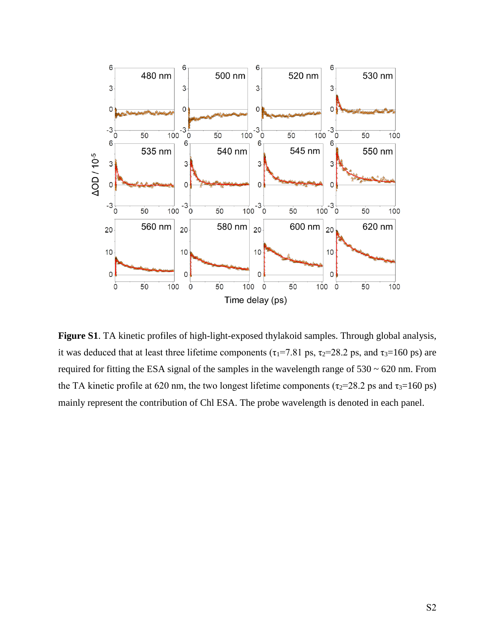

**Figure S1**. TA kinetic profiles of high-light-exposed thylakoid samples. Through global analysis, it was deduced that at least three lifetime components ( $\tau_1$ =7.81 ps,  $\tau_2$ =28.2 ps, and  $\tau_3$ =160 ps) are required for fitting the ESA signal of the samples in the wavelength range of  $530 \sim 620$  nm. From the TA kinetic profile at 620 nm, the two longest lifetime components ( $\tau_2$ =28.2 ps and  $\tau_3$ =160 ps) mainly represent the contribution of Chl ESA. The probe wavelength is denoted in each panel.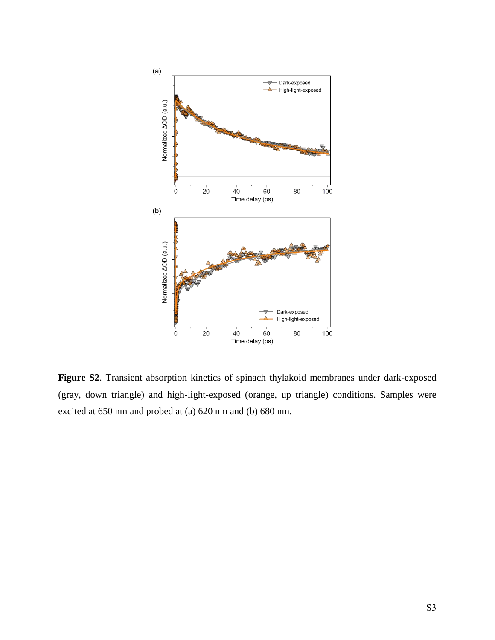

**Figure S2**. Transient absorption kinetics of spinach thylakoid membranes under dark-exposed (gray, down triangle) and high-light-exposed (orange, up triangle) conditions. Samples were excited at 650 nm and probed at (a) 620 nm and (b) 680 nm.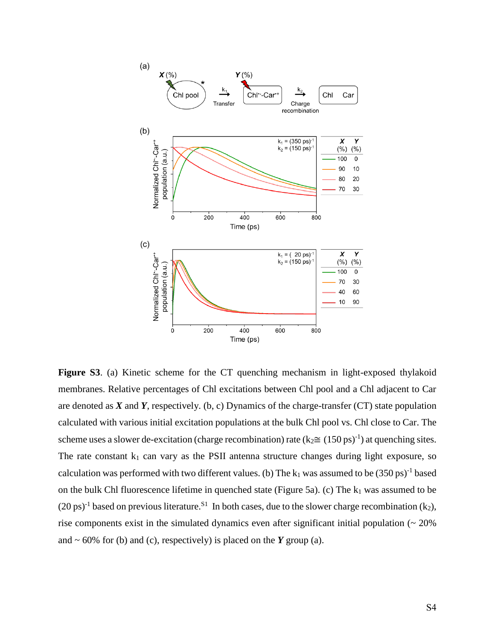

**Figure S3**. (a) Kinetic scheme for the CT quenching mechanism in light-exposed thylakoid membranes. Relative percentages of Chl excitations between Chl pool and a Chl adjacent to Car are denoted as *X* and *Y*, respectively. (b, c) Dynamics of the charge-transfer (CT) state population calculated with various initial excitation populations at the bulk Chl pool vs. Chl close to Car. The scheme uses a slower de-excitation (charge recombination) rate  $(k_2 \cong (150 \text{ ps})^{-1})$  at quenching sites. The rate constant  $k_1$  can vary as the PSII antenna structure changes during light exposure, so calculation was performed with two different values. (b) The  $k_1$  was assumed to be  $(350 \text{ ps})^{-1}$  based on the bulk Chl fluorescence lifetime in quenched state (Figure 5a). (c) The  $k_1$  was assumed to be  $(20 \text{ ps})$ <sup>-1</sup> based on previous literature.<sup>S1</sup> In both cases, due to the slower charge recombination (k<sub>2</sub>), rise components exist in the simulated dynamics even after significant initial population  $(20\%$ and  $\sim$  60% for (b) and (c), respectively) is placed on the *Y* group (a).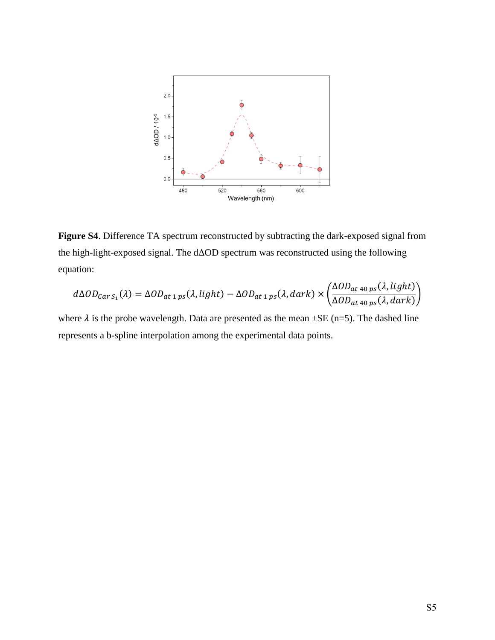

**Figure S4**. Difference TA spectrum reconstructed by subtracting the dark-exposed signal from the high-light-exposed signal. The dΔOD spectrum was reconstructed using the following equation:

$$
d\Delta OD_{car\,S_1}(\lambda) = \Delta OD_{at\,1\,ps}(\lambda, light) - \Delta OD_{at\,1\,ps}(\lambda, dark) \times \left(\frac{\Delta OD_{at\,40\,ps}(\lambda, light)}{\Delta OD_{at\,40\,ps}(\lambda, dark)}\right)
$$

where  $\lambda$  is the probe wavelength. Data are presented as the mean  $\pm$ SE (n=5). The dashed line represents a b-spline interpolation among the experimental data points.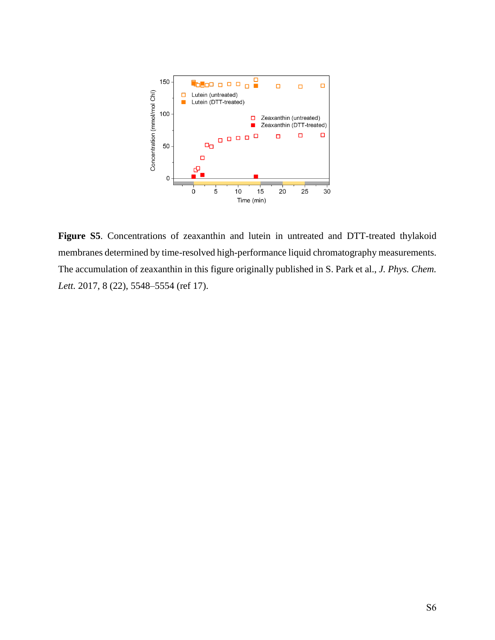

**Figure S5**. Concentrations of zeaxanthin and lutein in untreated and DTT-treated thylakoid membranes determined by time-resolved high-performance liquid chromatography measurements. The accumulation of zeaxanthin in this figure originally published in S. Park et al., *J. Phys. Chem.*  Lett. 2017, 8 (22), 5548–5554 (ref 17).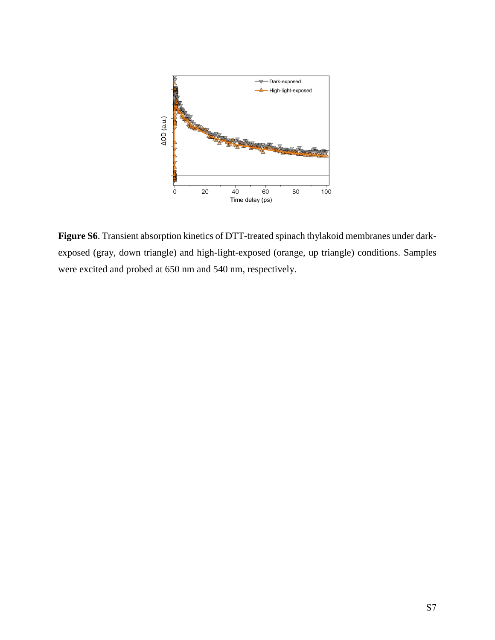

**Figure S6**. Transient absorption kinetics of DTT-treated spinach thylakoid membranes under darkexposed (gray, down triangle) and high-light-exposed (orange, up triangle) conditions. Samples were excited and probed at 650 nm and 540 nm, respectively.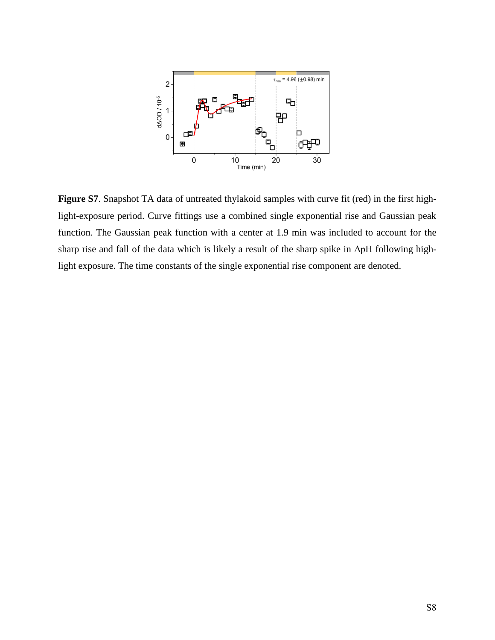

**Figure S7**. Snapshot TA data of untreated thylakoid samples with curve fit (red) in the first highlight-exposure period. Curve fittings use a combined single exponential rise and Gaussian peak function. The Gaussian peak function with a center at 1.9 min was included to account for the sharp rise and fall of the data which is likely a result of the sharp spike in ΔpH following highlight exposure. The time constants of the single exponential rise component are denoted.